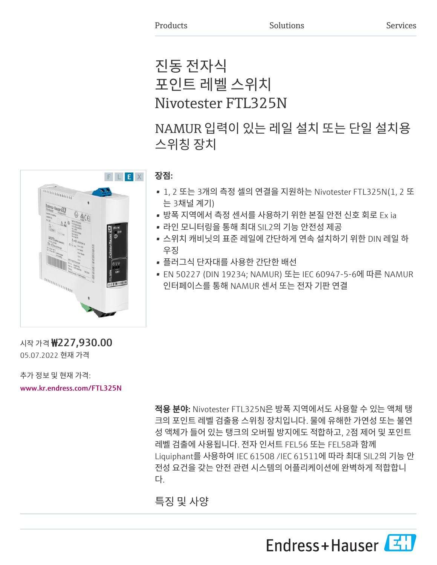# 진동 전자식 포인트 레벨 스위치 Nivotester FTL325N

NAMUR 입력이 있는 레일 설치 또는 단일 설치용 스위칭 장치



# 장점:

- 1, 2 또는 3개의 측정 셀의 연결을 지원하는 Nivotester FTL325N(1, 2 또 는 3채널 계기)
- 방폭 지역에서 측정 센서를 사용하기 위한 본질 안전 신호 회로 Ex ia
- 라인 모니터링을 통해 최대 SIL2의 기능 안전성 제공
- 스위치 캐비닛의 표준 레일에 간단하게 연속 설치하기 위한 DIN 레일 하 우징
- 플러그식 단자대를 사용한 간단한 배선
- EN 50227 (DIN 19234; NAMUR) 또는 IEC 60947-5-6에 따른 NAMUR 인터페이스를 통해 NAMUR 센서 또는 전자 기판 연결

시작 가격 ₩227,930.00 05.07.2022 현재 가격

추가 정보 및 현재 가격:

[www.kr.endress.com/FTL325N](https://www.kr.endress.com/FTL325N)

적용 분야: Nivotester FTL325N은 방폭 지역에서도 사용할 수 있는 액체 탱 크의 포인트 레벨 검출용 스위칭 장치입니다. 물에 유해한 가연성 또는 불연 성 액체가 들어 있는 탱크의 오버필 방지에도 적합하고, 2점 제어 및 포인트 레벨 검출에 사용됩니다. 전자 인서트 FEL56 또는 FEL58과 함께 Liquiphant를 사용하여 IEC 61508 /IEC 61511에 따라 최대 SIL2의 기능 안 전성 요건을 갖는 안전 관련 시스템의 어플리케이션에 완벽하게 적합합니 다.

특징 및 사양

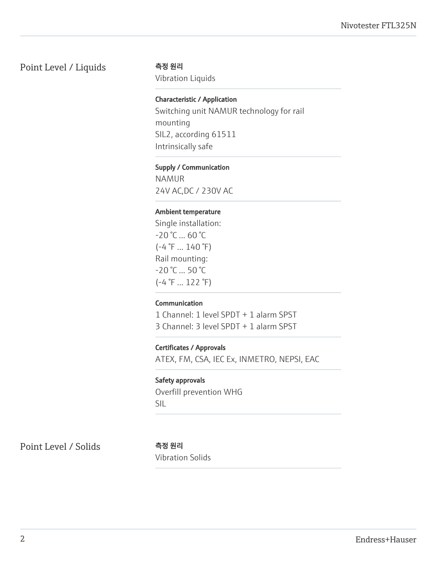# Point Level / Liquids 측정 원리

Vibration Liquids

## Characteristic / Application

Switching unit NAMUR technology for rail mounting SIL2, according 61511 Intrinsically safe

#### Supply / Communication

NAMUR 24V AC,DC / 230V AC

#### Ambient temperature

Single installation: -20 °C ... 60 °C  $(-4 \degree F ... 140 \degree F)$ Rail mounting: -20 °C ... 50 °C  $(-4 \degree F ... 122 \degree F)$ 

#### Communication

1 Channel: 1 level SPDT + 1 alarm SPST 3 Channel: 3 level SPDT + 1 alarm SPST

### Certificates / Approvals

ATEX, FM, CSA, IEC Ex, INMETRO, NEPSI, EAC

#### Safety approvals

Overfill prevention WHG SIL

Point Level / Solids 측정 원리

Vibration Solids